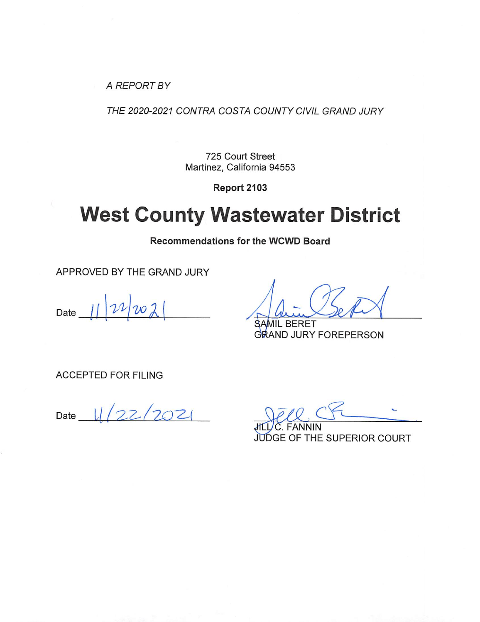A REPORT BY

THE 2020-2021 CONTRA COSTA COUNTY CIVIL GRAND JURY

725 Court Street Martinez, California 94553

Report 2103

# **West County Wastewater District**

**Recommendations for the WCWD Board** 

APPROVED BY THE GRAND JURY

Date

**BERET** GRAND JURY FOREPERSON

**ACCEPTED FOR FILING** 

 $11/22/2021$ Date

**JUDGE OF THE SUPERIOR COURT**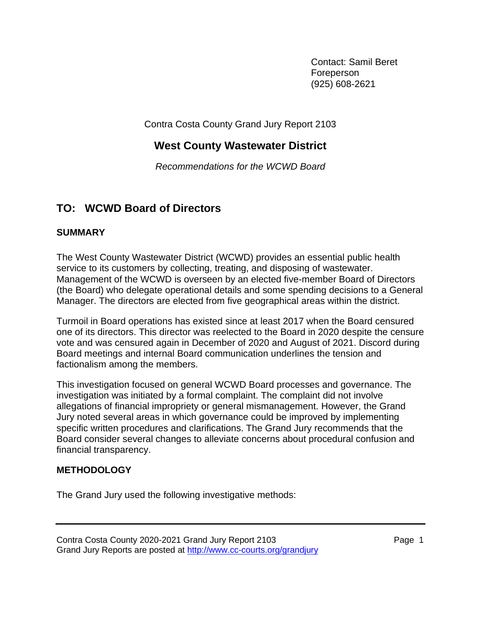Contact: Samil Beret Foreperson (925) 608-2621

Contra Costa County Grand Jury Report 2103

## **West County Wastewater District**

*Recommendations for the WCWD Board*

## **TO: WCWD Board of Directors**

## **SUMMARY**

The West County Wastewater District (WCWD) provides an essential public health service to its customers by collecting, treating, and disposing of wastewater. Management of the WCWD is overseen by an elected five-member Board of Directors (the Board) who delegate operational details and some spending decisions to a General Manager. The directors are elected from five geographical areas within the district.

Turmoil in Board operations has existed since at least 2017 when the Board censured one of its directors. This director was reelected to the Board in 2020 despite the censure vote and was censured again in December of 2020 and August of 2021. Discord during Board meetings and internal Board communication underlines the tension and factionalism among the members.

This investigation focused on general WCWD Board processes and governance. The investigation was initiated by a formal complaint. The complaint did not involve allegations of financial impropriety or general mismanagement. However, the Grand Jury noted several areas in which governance could be improved by implementing specific written procedures and clarifications. The Grand Jury recommends that the Board consider several changes to alleviate concerns about procedural confusion and financial transparency.

## **METHODOLOGY**

The Grand Jury used the following investigative methods: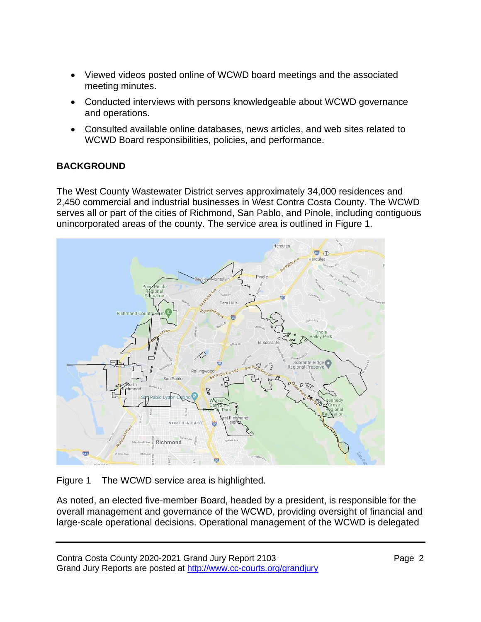- Viewed videos posted online of WCWD board meetings and the associated meeting minutes.
- Conducted interviews with persons knowledgeable about WCWD governance and operations.
- Consulted available online databases, news articles, and web sites related to WCWD Board responsibilities, policies, and performance.

## **BACKGROUND**

The West County Wastewater District serves approximately 34,000 residences and 2,450 commercial and industrial businesses in West Contra Costa County. The WCWD serves all or part of the cities of Richmond, San Pablo, and Pinole, including contiguous unincorporated areas of the county. The service area is outlined in Figure 1.



Figure 1 The WCWD service area is highlighted.

As noted, an elected five-member Board, headed by a president, is responsible for the overall management and governance of the WCWD, providing oversight of financial and large-scale operational decisions. Operational management of the WCWD is delegated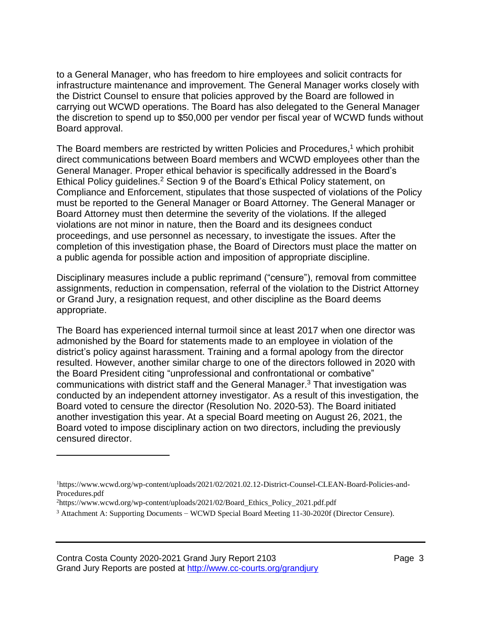to a General Manager, who has freedom to hire employees and solicit contracts for infrastructure maintenance and improvement. The General Manager works closely with the District Counsel to ensure that policies approved by the Board are followed in carrying out WCWD operations. The Board has also delegated to the General Manager the discretion to spend up to \$50,000 per vendor per fiscal year of WCWD funds without Board approval.

The Board members are restricted by written Policies and Procedures,<sup>1</sup> which prohibit direct communications between Board members and WCWD employees other than the General Manager. Proper ethical behavior is specifically addressed in the Board's Ethical Policy guidelines.<sup>2</sup> Section 9 of the Board's Ethical Policy statement, on Compliance and Enforcement, stipulates that those suspected of violations of the Policy must be reported to the General Manager or Board Attorney. The General Manager or Board Attorney must then determine the severity of the violations. If the alleged violations are not minor in nature, then the Board and its designees conduct proceedings, and use personnel as necessary, to investigate the issues. After the completion of this investigation phase, the Board of Directors must place the matter on a public agenda for possible action and imposition of appropriate discipline.

Disciplinary measures include a public reprimand ("censure"), removal from committee assignments, reduction in compensation, referral of the violation to the District Attorney or Grand Jury, a resignation request, and other discipline as the Board deems appropriate.

The Board has experienced internal turmoil since at least 2017 when one director was admonished by the Board for statements made to an employee in violation of the district's policy against harassment. Training and a formal apology from the director resulted. However, another similar charge to one of the directors followed in 2020 with the Board President citing "unprofessional and confrontational or combative" communications with district staff and the General Manager.<sup>3</sup> That investigation was conducted by an independent attorney investigator. As a result of this investigation, the Board voted to censure the director (Resolution No. 2020-53). The Board initiated another investigation this year. At a special Board meeting on August 26, 2021, the Board voted to impose disciplinary action on two directors, including the previously censured director.

<sup>1</sup>https://www.wcwd.org/wp-content/uploads/2021/02/2021.02.12-District-Counsel-CLEAN-Board-Policies-and-Procedures.pdf

<sup>2</sup>https://www.wcwd.org/wp-content/uploads/2021/02/Board\_Ethics\_Policy\_2021.pdf.pdf

<sup>3</sup> Attachment A: Supporting Documents – WCWD Special Board Meeting 11-30-2020f (Director Censure).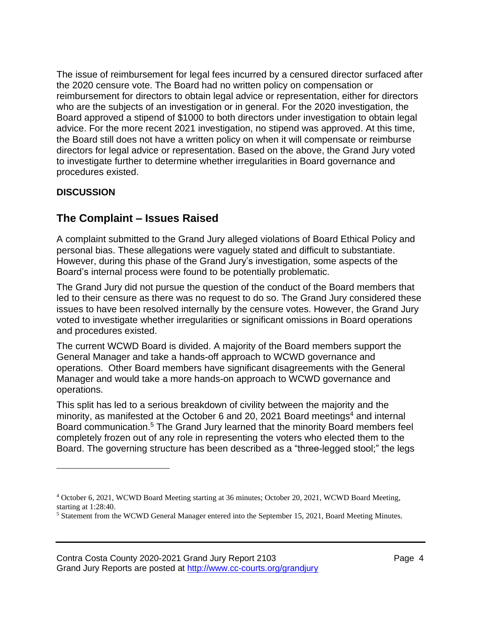The issue of reimbursement for legal fees incurred by a censured director surfaced after the 2020 censure vote. The Board had no written policy on compensation or reimbursement for directors to obtain legal advice or representation, either for directors who are the subjects of an investigation or in general. For the 2020 investigation, the Board approved a stipend of \$1000 to both directors under investigation to obtain legal advice. For the more recent 2021 investigation, no stipend was approved. At this time, the Board still does not have a written policy on when it will compensate or reimburse directors for legal advice or representation. Based on the above, the Grand Jury voted to investigate further to determine whether irregularities in Board governance and procedures existed.

## **DISCUSSION**

## **The Complaint – Issues Raised**

A complaint submitted to the Grand Jury alleged violations of Board Ethical Policy and personal bias. These allegations were vaguely stated and difficult to substantiate. However, during this phase of the Grand Jury's investigation, some aspects of the Board's internal process were found to be potentially problematic.

The Grand Jury did not pursue the question of the conduct of the Board members that led to their censure as there was no request to do so. The Grand Jury considered these issues to have been resolved internally by the censure votes. However, the Grand Jury voted to investigate whether irregularities or significant omissions in Board operations and procedures existed.

The current WCWD Board is divided. A majority of the Board members support the General Manager and take a hands-off approach to WCWD governance and operations. Other Board members have significant disagreements with the General Manager and would take a more hands-on approach to WCWD governance and operations.

This split has led to a serious breakdown of civility between the majority and the minority, as manifested at the October 6 and 20, 2021 Board meetings<sup>4</sup> and internal Board communication. <sup>5</sup> The Grand Jury learned that the minority Board members feel completely frozen out of any role in representing the voters who elected them to the Board. The governing structure has been described as a "three-legged stool;" the legs

<sup>4</sup> October 6, 2021, WCWD Board Meeting starting at 36 minutes; October 20, 2021, WCWD Board Meeting, starting at 1:28:40.

<sup>5</sup> Statement from the WCWD General Manager entered into the September 15, 2021, Board Meeting Minutes.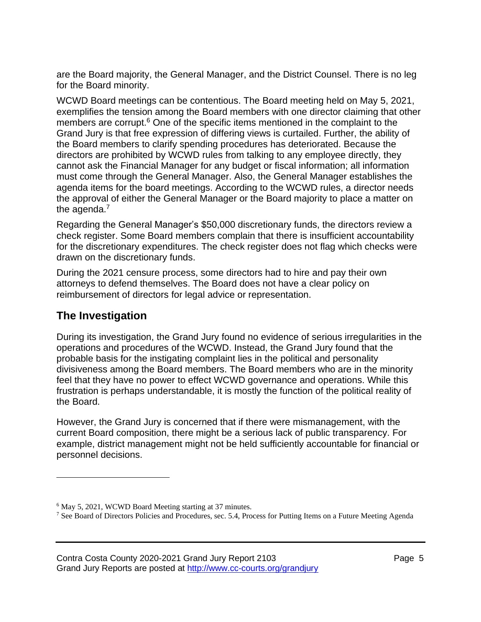are the Board majority, the General Manager, and the District Counsel. There is no leg for the Board minority.

WCWD Board meetings can be contentious. The Board meeting held on May 5, 2021, exemplifies the tension among the Board members with one director claiming that other members are corrupt.<sup>6</sup> One of the specific items mentioned in the complaint to the Grand Jury is that free expression of differing views is curtailed. Further, the ability of the Board members to clarify spending procedures has deteriorated. Because the directors are prohibited by WCWD rules from talking to any employee directly, they cannot ask the Financial Manager for any budget or fiscal information; all information must come through the General Manager. Also, the General Manager establishes the agenda items for the board meetings. According to the WCWD rules, a director needs the approval of either the General Manager or the Board majority to place a matter on the agenda.<sup>7</sup>

Regarding the General Manager's \$50,000 discretionary funds, the directors review a check register. Some Board members complain that there is insufficient accountability for the discretionary expenditures. The check register does not flag which checks were drawn on the discretionary funds.

During the 2021 censure process, some directors had to hire and pay their own attorneys to defend themselves. The Board does not have a clear policy on reimbursement of directors for legal advice or representation.

## **The Investigation**

During its investigation, the Grand Jury found no evidence of serious irregularities in the operations and procedures of the WCWD. Instead, the Grand Jury found that the probable basis for the instigating complaint lies in the political and personality divisiveness among the Board members. The Board members who are in the minority feel that they have no power to effect WCWD governance and operations. While this frustration is perhaps understandable, it is mostly the function of the political reality of the Board.

However, the Grand Jury is concerned that if there were mismanagement, with the current Board composition, there might be a serious lack of public transparency. For example, district management might not be held sufficiently accountable for financial or personnel decisions.

<sup>&</sup>lt;sup>6</sup> May 5, 2021, WCWD Board Meeting starting at 37 minutes.

<sup>&</sup>lt;sup>7</sup> See Board of Directors Policies and Procedures, sec. 5.4, Process for Putting Items on a Future Meeting Agenda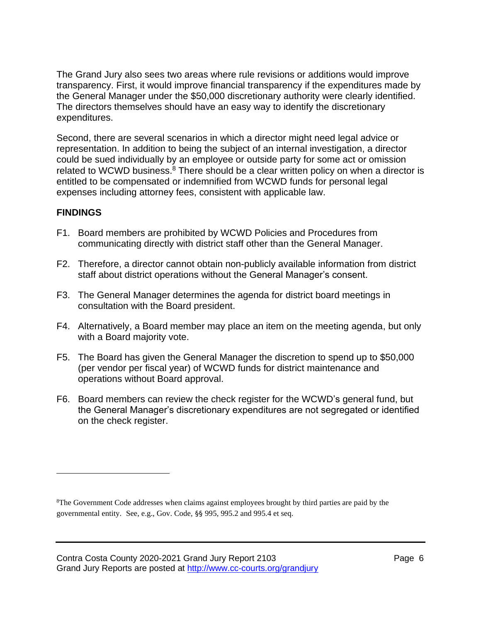The Grand Jury also sees two areas where rule revisions or additions would improve transparency. First, it would improve financial transparency if the expenditures made by the General Manager under the \$50,000 discretionary authority were clearly identified. The directors themselves should have an easy way to identify the discretionary expenditures.

Second, there are several scenarios in which a director might need legal advice or representation. In addition to being the subject of an internal investigation, a director could be sued individually by an employee or outside party for some act or omission related to WCWD business.<sup>8</sup> There should be a clear written policy on when a director is entitled to be compensated or indemnified from WCWD funds for personal legal expenses including attorney fees, consistent with applicable law.

#### **FINDINGS**

- F1. Board members are prohibited by WCWD Policies and Procedures from communicating directly with district staff other than the General Manager.
- F2. Therefore, a director cannot obtain non-publicly available information from district staff about district operations without the General Manager's consent.
- F3. The General Manager determines the agenda for district board meetings in consultation with the Board president.
- F4. Alternatively, a Board member may place an item on the meeting agenda, but only with a Board majority vote.
- F5. The Board has given the General Manager the discretion to spend up to \$50,000 (per vendor per fiscal year) of WCWD funds for district maintenance and operations without Board approval.
- F6. Board members can review the check register for the WCWD's general fund, but the General Manager's discretionary expenditures are not segregated or identified on the check register.

<sup>8</sup>The Government Code addresses when claims against employees brought by third parties are paid by the governmental entity. See, e.g., Gov. Code, §§ 995, 995.2 and 995.4 et seq.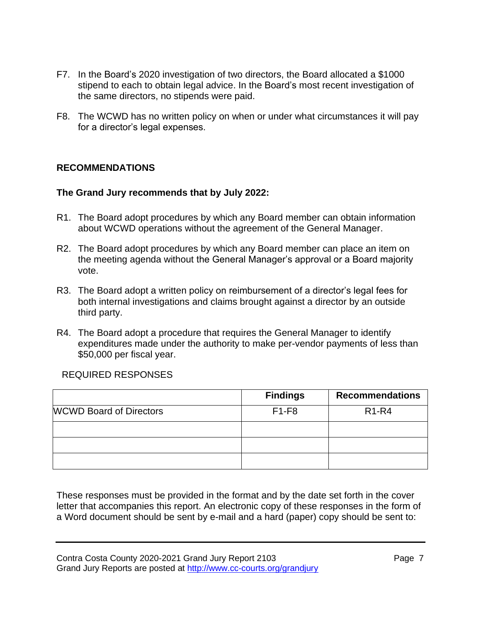- F7. In the Board's 2020 investigation of two directors, the Board allocated a \$1000 stipend to each to obtain legal advice. In the Board's most recent investigation of the same directors, no stipends were paid.
- F8. The WCWD has no written policy on when or under what circumstances it will pay for a director's legal expenses.

## **RECOMMENDATIONS**

#### **The Grand Jury recommends that by July 2022:**

- R1. The Board adopt procedures by which any Board member can obtain information about WCWD operations without the agreement of the General Manager.
- R2. The Board adopt procedures by which any Board member can place an item on the meeting agenda without the General Manager's approval or a Board majority vote.
- R3. The Board adopt a written policy on reimbursement of a director's legal fees for both internal investigations and claims brought against a director by an outside third party.
- R4. The Board adopt a procedure that requires the General Manager to identify expenditures made under the authority to make per-vendor payments of less than \$50,000 per fiscal year.

## REQUIRED RESPONSES

|                                | <b>Findings</b> | <b>Recommendations</b> |
|--------------------------------|-----------------|------------------------|
| <b>WCWD Board of Directors</b> | $F1-F8$         | $R1-R4$                |
|                                |                 |                        |
|                                |                 |                        |
|                                |                 |                        |

These responses must be provided in the format and by the date set forth in the cover letter that accompanies this report. An electronic copy of these responses in the form of a Word document should be sent by e-mail and a hard (paper) copy should be sent to: